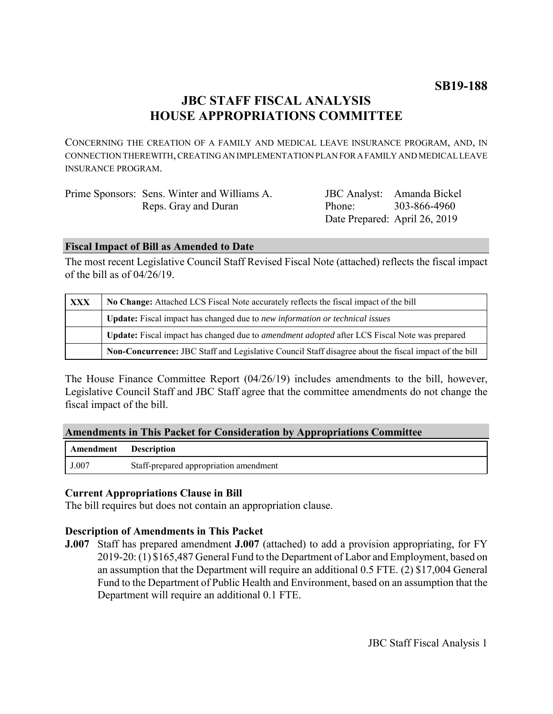# **JBC STAFF FISCAL ANALYSIS HOUSE APPROPRIATIONS COMMITTEE**

CONCERNING THE CREATION OF A FAMILY AND MEDICAL LEAVE INSURANCE PROGRAM, AND, IN CONNECTION THEREWITH, CREATING AN IMPLEMENTATION PLAN FOR A FAMILY AND MEDICAL LEAVE INSURANCE PROGRAM.

| Prime Sponsors: Sens. Winter and Williams A. |                               | JBC Analyst: Amanda Bickel |
|----------------------------------------------|-------------------------------|----------------------------|
| Reps. Gray and Duran                         | Phone <sup>-</sup>            | 303-866-4960               |
|                                              | Date Prepared: April 26, 2019 |                            |

### **Fiscal Impact of Bill as Amended to Date**

The most recent Legislative Council Staff Revised Fiscal Note (attached) reflects the fiscal impact of the bill as of 04/26/19.

| XXX | No Change: Attached LCS Fiscal Note accurately reflects the fiscal impact of the bill                       |  |
|-----|-------------------------------------------------------------------------------------------------------------|--|
|     | Update: Fiscal impact has changed due to new information or technical issues                                |  |
|     | <b>Update:</b> Fiscal impact has changed due to <i>amendment adopted</i> after LCS Fiscal Note was prepared |  |
|     | Non-Concurrence: JBC Staff and Legislative Council Staff disagree about the fiscal impact of the bill       |  |

The House Finance Committee Report (04/26/19) includes amendments to the bill, however, Legislative Council Staff and JBC Staff agree that the committee amendments do not change the fiscal impact of the bill.

| <b>Amendments in This Packet for Consideration by Appropriations Committee</b> |  |  |  |
|--------------------------------------------------------------------------------|--|--|--|
|                                                                                |  |  |  |

| <b>Amendment</b> Description |                                        |
|------------------------------|----------------------------------------|
| J.007                        | Staff-prepared appropriation amendment |

# **Current Appropriations Clause in Bill**

The bill requires but does not contain an appropriation clause.

# **Description of Amendments in This Packet**

**J.007** Staff has prepared amendment **J.007** (attached) to add a provision appropriating, for FY 2019-20: (1) \$165,487 General Fund to the Department of Labor and Employment, based on an assumption that the Department will require an additional 0.5 FTE. (2) \$17,004 General Fund to the Department of Public Health and Environment, based on an assumption that the Department will require an additional 0.1 FTE.